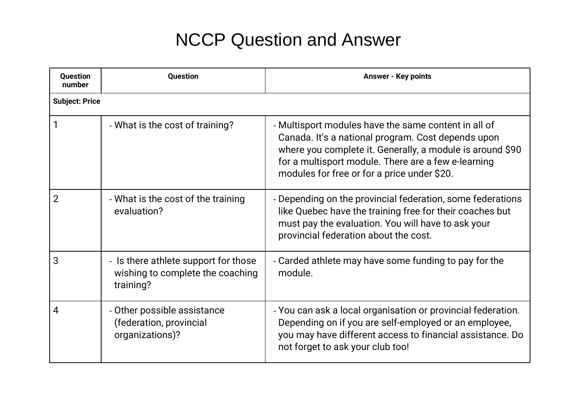## NCCP Question and Answer

| <b>Question</b><br>number | <b>Question</b>                                                                       | <b>Answer - Key points</b>                                                                                                                                                                                                                                                    |
|---------------------------|---------------------------------------------------------------------------------------|-------------------------------------------------------------------------------------------------------------------------------------------------------------------------------------------------------------------------------------------------------------------------------|
| <b>Subject: Price</b>     |                                                                                       |                                                                                                                                                                                                                                                                               |
|                           | - What is the cost of training?                                                       | - Multisport modules have the same content in all of<br>Canada. It's a national program. Cost depends upon<br>where you complete it. Generally, a module is around \$90<br>for a multisport module. There are a few e-learning<br>modules for free or for a price under \$20. |
| $\overline{2}$            | - What is the cost of the training<br>evaluation?                                     | - Depending on the provincial federation, some federations<br>like Quebec have the training free for their coaches but<br>must pay the evaluation. You will have to ask your<br>provincial federation about the cost.                                                         |
| 3                         | - Is there athlete support for those<br>wishing to complete the coaching<br>training? | - Carded athlete may have some funding to pay for the<br>module.                                                                                                                                                                                                              |
| 4                         | - Other possible assistance<br>(federation, provincial<br>organizations)?             | - You can ask a local organisation or provincial federation.<br>Depending on if you are self-employed or an employee,<br>you may have different access to financial assistance. Do<br>not forget to ask your club too!                                                        |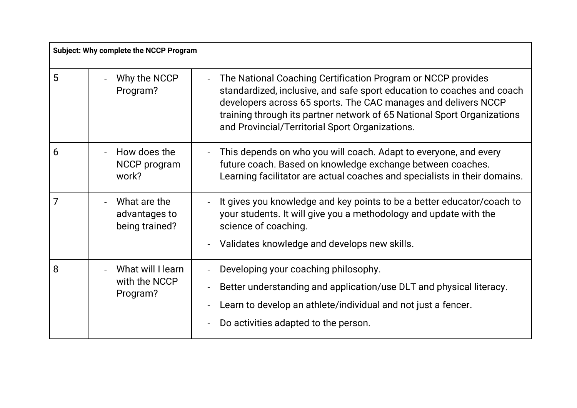| <b>Subject: Why complete the NCCP Program</b> |                                                 |                                                                                                                                                                                                                                                                                                                                                          |
|-----------------------------------------------|-------------------------------------------------|----------------------------------------------------------------------------------------------------------------------------------------------------------------------------------------------------------------------------------------------------------------------------------------------------------------------------------------------------------|
| 5                                             | Why the NCCP<br>Program?                        | The National Coaching Certification Program or NCCP provides<br>$\blacksquare$<br>standardized, inclusive, and safe sport education to coaches and coach<br>developers across 65 sports. The CAC manages and delivers NCCP<br>training through its partner network of 65 National Sport Organizations<br>and Provincial/Territorial Sport Organizations. |
| 6                                             | How does the<br>NCCP program<br>work?           | This depends on who you will coach. Adapt to everyone, and every<br>future coach. Based on knowledge exchange between coaches.<br>Learning facilitator are actual coaches and specialists in their domains.                                                                                                                                              |
| 7                                             | What are the<br>advantages to<br>being trained? | It gives you knowledge and key points to be a better educator/coach to<br>your students. It will give you a methodology and update with the<br>science of coaching.<br>Validates knowledge and develops new skills.                                                                                                                                      |
| 8                                             | What will I learn<br>with the NCCP<br>Program?  | Developing your coaching philosophy.<br>Better understanding and application/use DLT and physical literacy.<br>Learn to develop an athlete/individual and not just a fencer.<br>Do activities adapted to the person.                                                                                                                                     |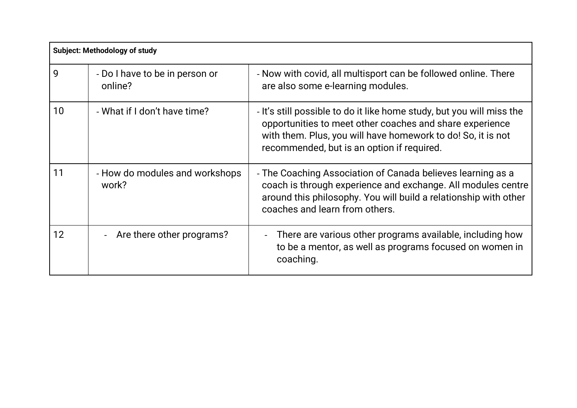| <b>Subject: Methodology of study</b> |                                           |                                                                                                                                                                                                                                                 |
|--------------------------------------|-------------------------------------------|-------------------------------------------------------------------------------------------------------------------------------------------------------------------------------------------------------------------------------------------------|
| 9                                    | - Do I have to be in person or<br>online? | - Now with covid, all multisport can be followed online. There<br>are also some e-learning modules.                                                                                                                                             |
| 10                                   | - What if I don't have time?              | - It's still possible to do it like home study, but you will miss the<br>opportunities to meet other coaches and share experience<br>with them. Plus, you will have homework to do! So, it is not<br>recommended, but is an option if required. |
| 11                                   | - How do modules and workshops<br>work?   | - The Coaching Association of Canada believes learning as a<br>coach is through experience and exchange. All modules centre<br>around this philosophy. You will build a relationship with other<br>coaches and learn from others.               |
| 12                                   | Are there other programs?                 | There are various other programs available, including how<br>$\overline{\phantom{0}}$<br>to be a mentor, as well as programs focused on women in<br>coaching.                                                                                   |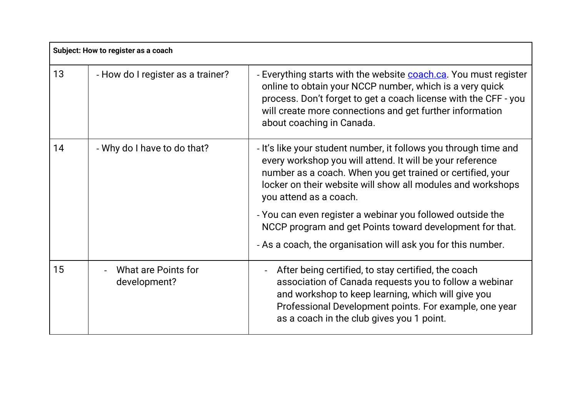| Subject: How to register as a coach |                                     |                                                                                                                                                                                                                                                                                                  |
|-------------------------------------|-------------------------------------|--------------------------------------------------------------------------------------------------------------------------------------------------------------------------------------------------------------------------------------------------------------------------------------------------|
| 13                                  | - How do I register as a trainer?   | - Everything starts with the website <b>coach.ca</b> . You must register<br>online to obtain your NCCP number, which is a very quick<br>process. Don't forget to get a coach license with the CFF - you<br>will create more connections and get further information<br>about coaching in Canada. |
| 14                                  | - Why do I have to do that?         | - It's like your student number, it follows you through time and<br>every workshop you will attend. It will be your reference<br>number as a coach. When you get trained or certified, your<br>locker on their website will show all modules and workshops<br>you attend as a coach.             |
|                                     |                                     | - You can even register a webinar you followed outside the<br>NCCP program and get Points toward development for that.                                                                                                                                                                           |
|                                     |                                     | - As a coach, the organisation will ask you for this number.                                                                                                                                                                                                                                     |
| 15                                  | What are Points for<br>development? | After being certified, to stay certified, the coach<br>$\blacksquare$<br>association of Canada requests you to follow a webinar<br>and workshop to keep learning, which will give you<br>Professional Development points. For example, one year<br>as a coach in the club gives you 1 point.     |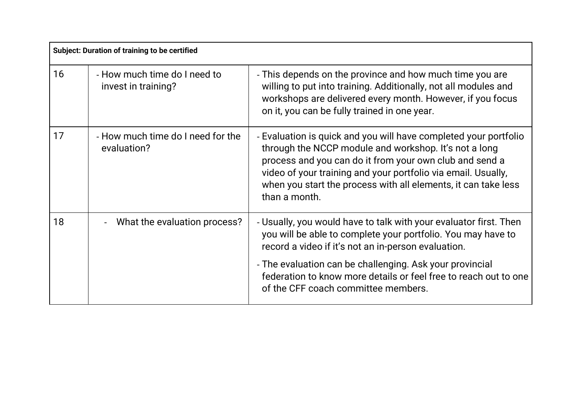| <b>Subject: Duration of training to be certified</b> |                                                     |                                                                                                                                                                                                                                                                                                                                          |
|------------------------------------------------------|-----------------------------------------------------|------------------------------------------------------------------------------------------------------------------------------------------------------------------------------------------------------------------------------------------------------------------------------------------------------------------------------------------|
| 16                                                   | - How much time do I need to<br>invest in training? | - This depends on the province and how much time you are<br>willing to put into training. Additionally, not all modules and<br>workshops are delivered every month. However, if you focus<br>on it, you can be fully trained in one year.                                                                                                |
| 17                                                   | - How much time do I need for the<br>evaluation?    | - Evaluation is quick and you will have completed your portfolio<br>through the NCCP module and workshop. It's not a long<br>process and you can do it from your own club and send a<br>video of your training and your portfolio via email. Usually,<br>when you start the process with all elements, it can take less<br>than a month. |
| 18                                                   | What the evaluation process?                        | - Usually, you would have to talk with your evaluator first. Then<br>you will be able to complete your portfolio. You may have to<br>record a video if it's not an in-person evaluation.                                                                                                                                                 |
|                                                      |                                                     | - The evaluation can be challenging. Ask your provincial<br>federation to know more details or feel free to reach out to one<br>of the CFF coach committee members.                                                                                                                                                                      |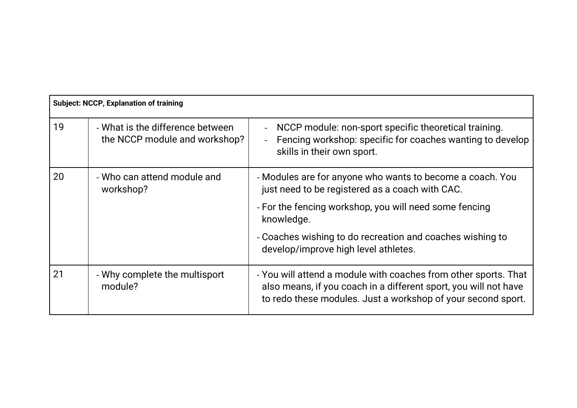| <b>Subject: NCCP, Explanation of training</b> |                                                                   |                                                                                                                                                                                                     |
|-----------------------------------------------|-------------------------------------------------------------------|-----------------------------------------------------------------------------------------------------------------------------------------------------------------------------------------------------|
| 19                                            | - What is the difference between<br>the NCCP module and workshop? | NCCP module: non-sport specific theoretical training.<br>$\overline{\phantom{0}}$<br>Fencing workshop: specific for coaches wanting to develop<br>$\blacksquare$<br>skills in their own sport.      |
| 20                                            | - Who can attend module and<br>workshop?                          | - Modules are for anyone who wants to become a coach. You<br>just need to be registered as a coach with CAC.                                                                                        |
|                                               |                                                                   | - For the fencing workshop, you will need some fencing<br>knowledge.                                                                                                                                |
|                                               |                                                                   | - Coaches wishing to do recreation and coaches wishing to<br>develop/improve high level athletes.                                                                                                   |
| 21                                            | - Why complete the multisport<br>module?                          | - You will attend a module with coaches from other sports. That<br>also means, if you coach in a different sport, you will not have<br>to redo these modules. Just a workshop of your second sport. |